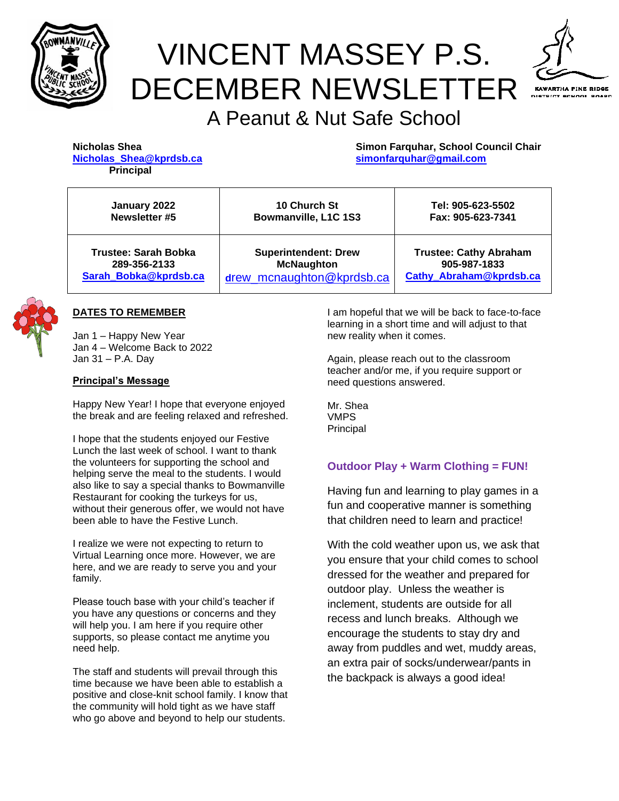

# VINCENT MASSEY P.S. DECEMBER NEWSLETTER



# A Peanut & Nut Safe School

| Nicholas Shea    |                         |  |
|------------------|-------------------------|--|
|                  | Nicholas Shea@kprdsb.ca |  |
| <b>Principal</b> |                         |  |

**Simon Farquhar, School Council Chair [Nicholas\\_Shea@kprdsb.ca](mailto:Nicholas_Shea@kprdsb.ca) [simonfarquhar@gmail.com](mailto:simonfarquhar@gmail.com)**

| January 2022                | 10 Church St                | Tel: 905-623-5502             |
|-----------------------------|-----------------------------|-------------------------------|
| Newsletter #5               | Bowmanville, L1C 1S3        | Fax: 905-623-7341             |
| <b>Trustee: Sarah Bobka</b> | <b>Superintendent: Drew</b> | <b>Trustee: Cathy Abraham</b> |
| 289-356-2133                | <b>McNaughton</b>           | 905-987-1833                  |
| Sarah_Bobka@kprdsb.ca       | drew mcnaughton@kprdsb.ca   | Cathy Abraham@kprdsb.ca       |



#### **DATES TO REMEMBER**

Jan 1 – Happy New Year Jan 4 – Welcome Back to 2022 Jan 31 – P.A. Day

#### **Principal's Message**

Happy New Year! I hope that everyone enjoyed the break and are feeling relaxed and refreshed.

I hope that the students enjoyed our Festive Lunch the last week of school. I want to thank the volunteers for supporting the school and helping serve the meal to the students. I would also like to say a special thanks to Bowmanville Restaurant for cooking the turkeys for us, without their generous offer, we would not have been able to have the Festive Lunch.

I realize we were not expecting to return to Virtual Learning once more. However, we are here, and we are ready to serve you and your family.

Please touch base with your child's teacher if you have any questions or concerns and they will help you. I am here if you require other supports, so please contact me anytime you need help.

The staff and students will prevail through this time because we have been able to establish a positive and close-knit school family. I know that the community will hold tight as we have staff who go above and beyond to help our students.

I am hopeful that we will be back to face-to-face learning in a short time and will adjust to that new reality when it comes.

Again, please reach out to the classroom teacher and/or me, if you require support or need questions answered.

Mr. Shea VMPS Principal

#### **Outdoor Play + Warm Clothing = FUN!**

Having fun and learning to play games in a fun and cooperative manner is something that children need to learn and practice!

With the cold weather upon us, we ask that you ensure that your child comes to school dressed for the weather and prepared for outdoor play. Unless the weather is inclement, students are outside for all recess and lunch breaks. Although we encourage the students to stay dry and away from puddles and wet, muddy areas, an extra pair of socks/underwear/pants in the backpack is always a good idea!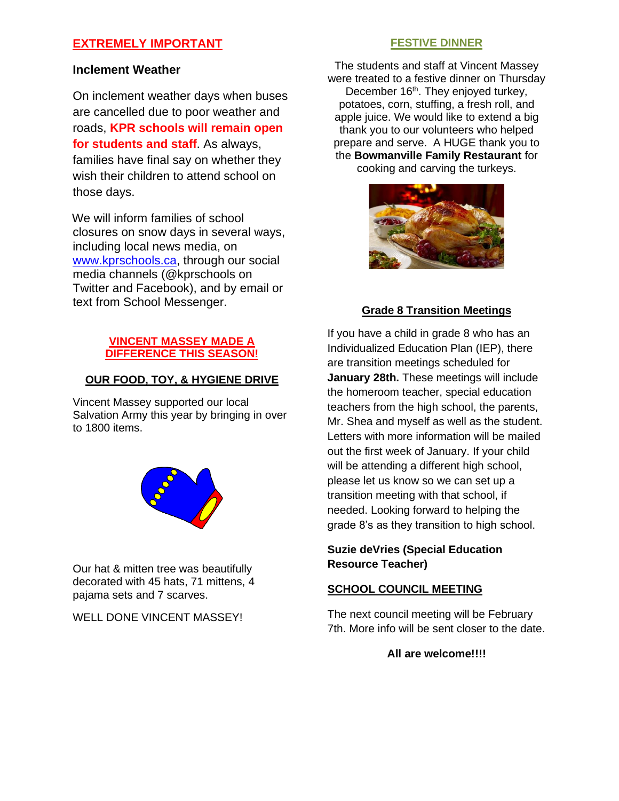# **EXTREMELY IMPORTANT**

#### **Inclement Weather**

On inclement weather days when buses are cancelled due to poor weather and roads, **KPR schools will remain open for students and staff**. As always, families have final say on whether they wish their children to attend school on those days.

We will inform families of school closures on snow days in several ways, including local news media, on [www.kprschools.ca,](http://www.kprschools.ca/) through our social media channels (@kprschools on Twitter and Facebook), and by email or text from School Messenger.

#### **VINCENT MASSEY MADE A DIFFERENCE THIS SEASON!**

#### **OUR FOOD, TOY, & HYGIENE DRIVE**

Vincent Massey supported our local Salvation Army this year by bringing in over to 1800 items.



Our hat & mitten tree was beautifully decorated with 45 hats, 71 mittens, 4 pajama sets and 7 scarves.

WELL DONE VINCENT MASSEY!

#### **FESTIVE DINNER**

The students and staff at Vincent Massey were treated to a festive dinner on Thursday December 16<sup>th</sup>. They enjoyed turkey, potatoes, corn, stuffing, a fresh roll, and apple juice. We would like to extend a big thank you to our volunteers who helped prepare and serve. A HUGE thank you to the **Bowmanville Family Restaurant** for cooking and carving the turkeys.



# **Grade 8 Transition Meetings**

If you have a child in grade 8 who has an Individualized Education Plan (IEP), there are transition meetings scheduled for **January 28th.** These meetings will include the homeroom teacher, special education teachers from the high school, the parents, Mr. Shea and myself as well as the student. Letters with more information will be mailed out the first week of January. If your child will be attending a different high school, please let us know so we can set up a transition meeting with that school, if needed. Looking forward to helping the grade 8's as they transition to high school.

## **Suzie deVries (Special Education Resource Teacher)**

## **SCHOOL COUNCIL MEETING**

The next council meeting will be February 7th. More info will be sent closer to the date.

**All are welcome!!!!**